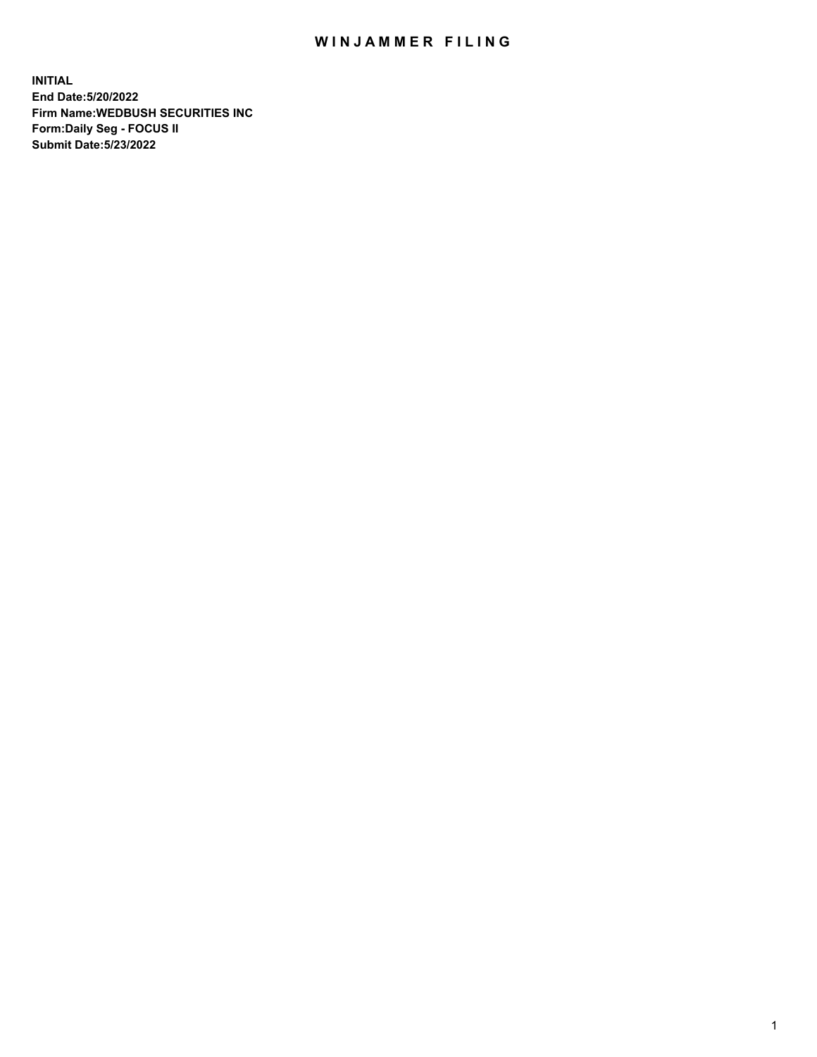## WIN JAMMER FILING

**INITIAL End Date:5/20/2022 Firm Name:WEDBUSH SECURITIES INC Form:Daily Seg - FOCUS II Submit Date:5/23/2022**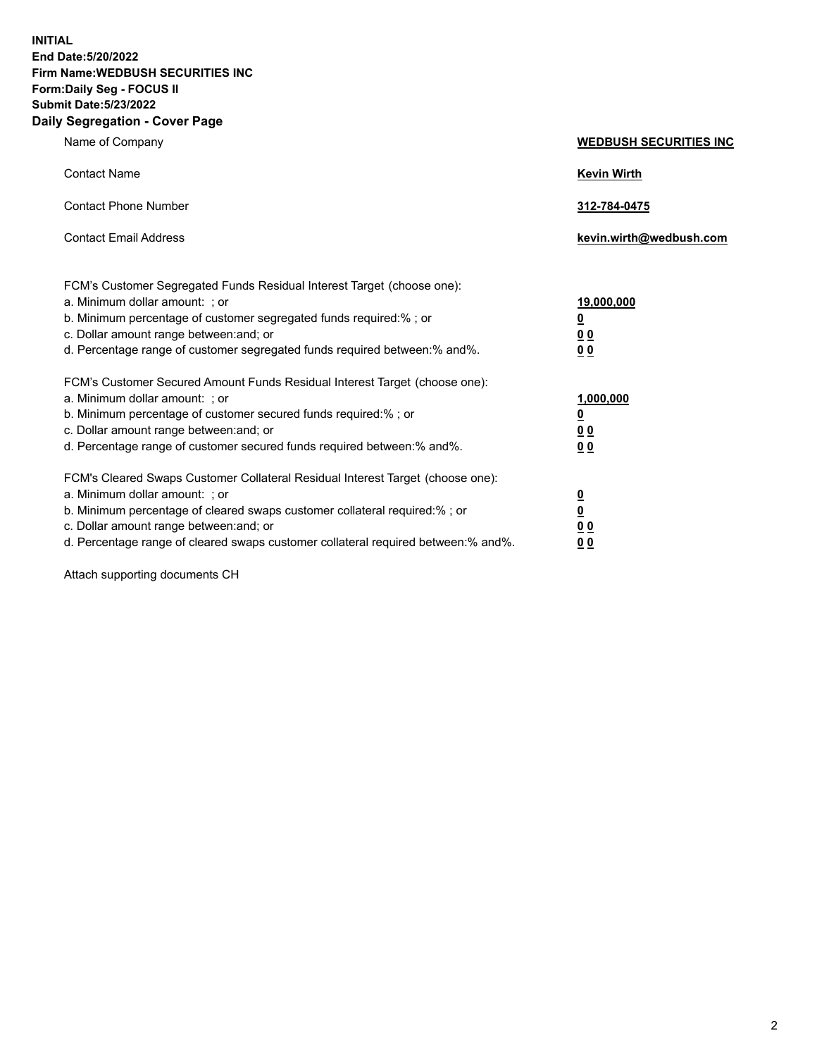**INITIAL End Date:5/20/2022 Firm Name:WEDBUSH SECURITIES INC Form:Daily Seg - FOCUS II Submit Date:5/23/2022 Daily Segregation - Cover Page**

| Name of Company                                                                                                                                                                                                                                                                                        | <b>WEDBUSH SECURITIES INC</b>                        |  |
|--------------------------------------------------------------------------------------------------------------------------------------------------------------------------------------------------------------------------------------------------------------------------------------------------------|------------------------------------------------------|--|
| <b>Contact Name</b>                                                                                                                                                                                                                                                                                    | <b>Kevin Wirth</b>                                   |  |
| <b>Contact Phone Number</b>                                                                                                                                                                                                                                                                            | 312-784-0475                                         |  |
| <b>Contact Email Address</b>                                                                                                                                                                                                                                                                           | kevin.wirth@wedbush.com                              |  |
| FCM's Customer Segregated Funds Residual Interest Target (choose one):<br>a. Minimum dollar amount: ; or<br>b. Minimum percentage of customer segregated funds required:% ; or<br>c. Dollar amount range between: and; or<br>d. Percentage range of customer segregated funds required between:% and%. | 19,000,000<br><u>0</u><br>00<br>0 <sub>0</sub>       |  |
| FCM's Customer Secured Amount Funds Residual Interest Target (choose one):<br>a. Minimum dollar amount: ; or<br>b. Minimum percentage of customer secured funds required:%; or<br>c. Dollar amount range between: and; or<br>d. Percentage range of customer secured funds required between: % and %.  | 1,000,000<br><u>0</u><br><u>00</u><br>0 <sub>0</sub> |  |
| FCM's Cleared Swaps Customer Collateral Residual Interest Target (choose one):<br>a. Minimum dollar amount: ; or<br>b. Minimum percentage of cleared swaps customer collateral required:%; or<br>c. Dollar amount range between: and; or                                                               | $\frac{0}{0}$<br>0 <sub>0</sub>                      |  |

d. Percentage range of cleared swaps customer collateral required between:% and%. **0 0**

Attach supporting documents CH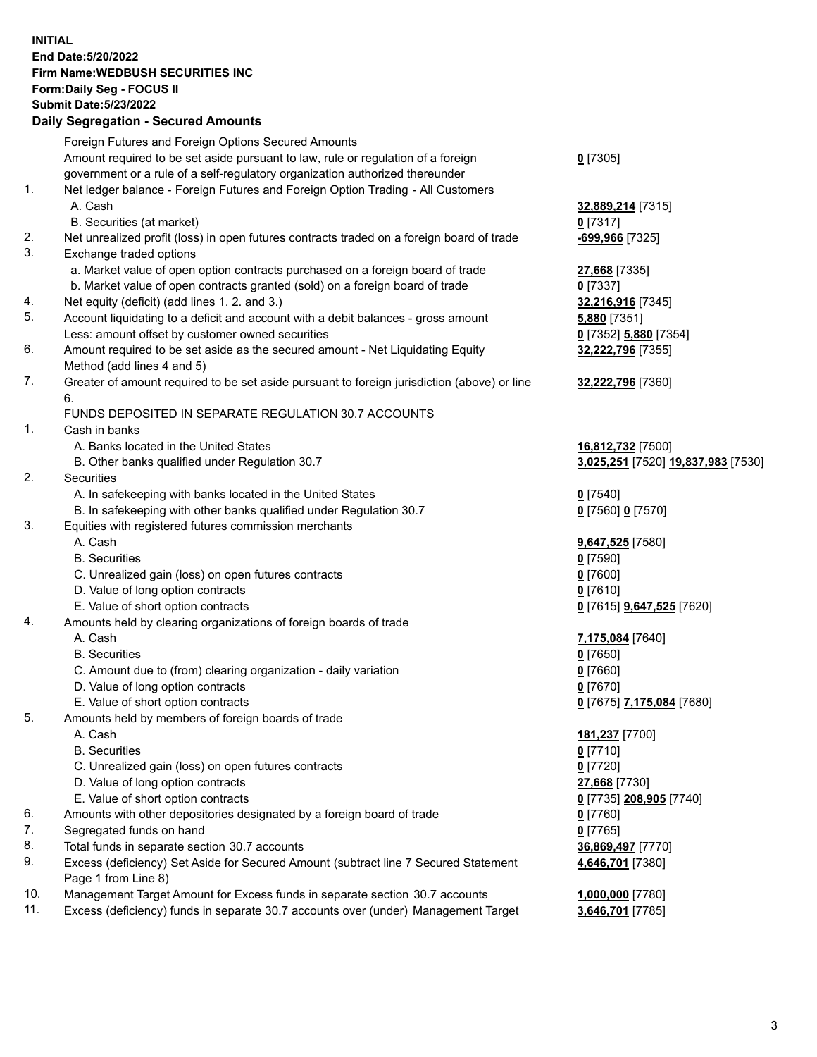**INITIAL End Date:5/20/2022 Firm Name:WEDBUSH SECURITIES INC Form:Daily Seg - FOCUS II Submit Date:5/23/2022 Daily Segregation - Secured Amounts**

|     | Pany Ocgi cgation - Occarea Anioante                                                        |                                    |
|-----|---------------------------------------------------------------------------------------------|------------------------------------|
|     | Foreign Futures and Foreign Options Secured Amounts                                         |                                    |
|     | Amount required to be set aside pursuant to law, rule or regulation of a foreign            | $0$ [7305]                         |
|     | government or a rule of a self-regulatory organization authorized thereunder                |                                    |
| 1.  | Net ledger balance - Foreign Futures and Foreign Option Trading - All Customers             |                                    |
|     | A. Cash                                                                                     | 32,889,214 [7315]                  |
|     | B. Securities (at market)                                                                   | $0$ [7317]                         |
| 2.  | Net unrealized profit (loss) in open futures contracts traded on a foreign board of trade   | -699,966 [7325]                    |
| 3.  | Exchange traded options                                                                     |                                    |
|     | a. Market value of open option contracts purchased on a foreign board of trade              | 27,668 [7335]                      |
|     | b. Market value of open contracts granted (sold) on a foreign board of trade                | $0$ [7337]                         |
| 4.  | Net equity (deficit) (add lines 1. 2. and 3.)                                               | 32,216,916 [7345]                  |
| 5.  | Account liquidating to a deficit and account with a debit balances - gross amount           | <b>5,880</b> [7351]                |
|     | Less: amount offset by customer owned securities                                            | 0 [7352] 5,880 [7354]              |
| 6.  | Amount required to be set aside as the secured amount - Net Liquidating Equity              | 32,222,796 [7355]                  |
|     | Method (add lines 4 and 5)                                                                  |                                    |
| 7.  | Greater of amount required to be set aside pursuant to foreign jurisdiction (above) or line | 32,222,796 [7360]                  |
|     | 6.                                                                                          |                                    |
|     | FUNDS DEPOSITED IN SEPARATE REGULATION 30.7 ACCOUNTS                                        |                                    |
| 1.  | Cash in banks                                                                               |                                    |
|     | A. Banks located in the United States                                                       | 16,812,732 [7500]                  |
|     | B. Other banks qualified under Regulation 30.7                                              | 3,025,251 [7520] 19,837,983 [7530] |
| 2.  | <b>Securities</b>                                                                           |                                    |
|     | A. In safekeeping with banks located in the United States                                   | $0$ [7540]                         |
|     | B. In safekeeping with other banks qualified under Regulation 30.7                          | 0 [7560] 0 [7570]                  |
| 3.  | Equities with registered futures commission merchants                                       |                                    |
|     | A. Cash                                                                                     | 9,647,525 [7580]                   |
|     | <b>B.</b> Securities                                                                        | $0$ [7590]                         |
|     | C. Unrealized gain (loss) on open futures contracts                                         | $0$ [7600]                         |
|     | D. Value of long option contracts                                                           | $0$ [7610]                         |
|     | E. Value of short option contracts                                                          | 0 [7615] <b>9,647,525</b> [7620]   |
| 4.  | Amounts held by clearing organizations of foreign boards of trade                           |                                    |
|     | A. Cash                                                                                     | 7,175,084 [7640]                   |
|     | <b>B.</b> Securities                                                                        | $0$ [7650]                         |
|     | C. Amount due to (from) clearing organization - daily variation                             | $0$ [7660]                         |
|     | D. Value of long option contracts                                                           | $0$ [7670]                         |
|     | E. Value of short option contracts                                                          | 0 [7675] 7,175,084 [7680]          |
| 5.  | Amounts held by members of foreign boards of trade                                          |                                    |
|     | A. Cash                                                                                     | 181,237 [7700]                     |
|     | <b>B.</b> Securities                                                                        | <u>0</u> [7710]                    |
|     | C. Unrealized gain (loss) on open futures contracts                                         | $0$ [7720]                         |
|     | D. Value of long option contracts                                                           | 27,668 [7730]                      |
|     | E. Value of short option contracts                                                          | 0 [7735] 208,905 [7740]            |
| 6.  | Amounts with other depositories designated by a foreign board of trade                      | 0 [7760]                           |
| 7.  | Segregated funds on hand                                                                    | $0$ [7765]                         |
| 8.  | Total funds in separate section 30.7 accounts                                               | 36,869,497 [7770]                  |
| 9.  | Excess (deficiency) Set Aside for Secured Amount (subtract line 7 Secured Statement         | 4,646,701 [7380]                   |
|     | Page 1 from Line 8)                                                                         |                                    |
| 10. | Management Target Amount for Excess funds in separate section 30.7 accounts                 | 1,000,000 [7780]                   |
| 11. | Excess (deficiency) funds in separate 30.7 accounts over (under) Management Target          | 3,646,701 [7785]                   |
|     |                                                                                             |                                    |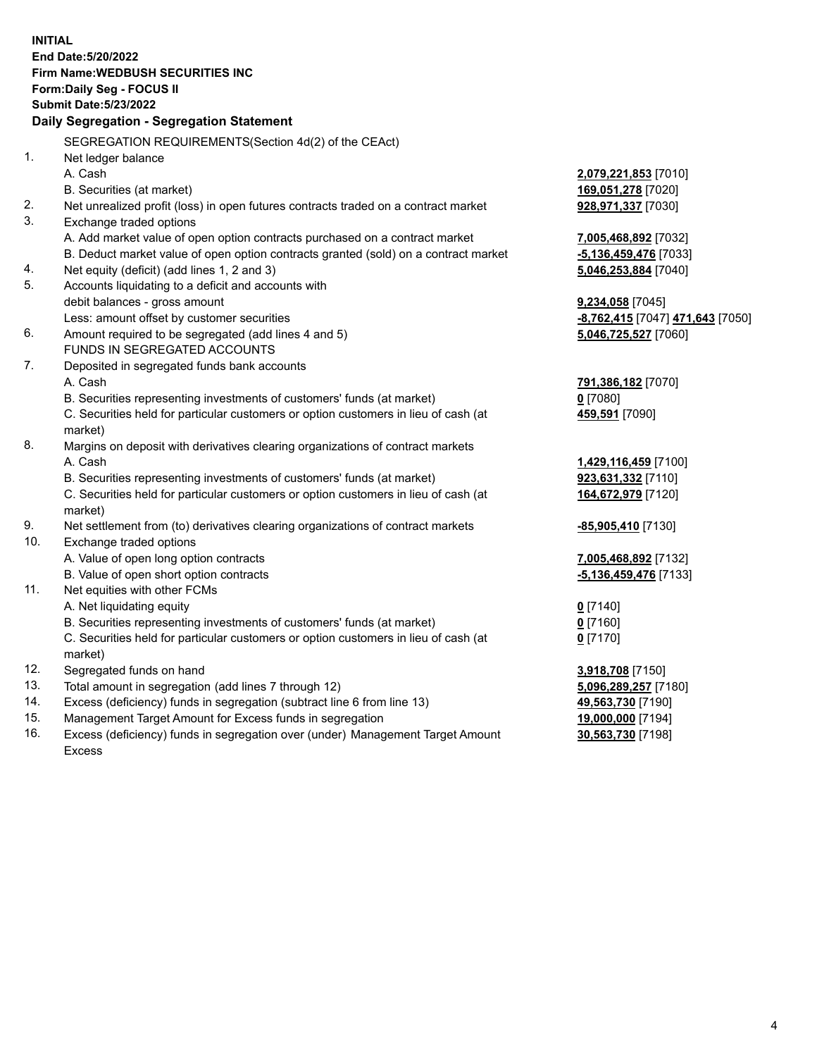|            | <b>INITIAL</b><br>End Date: 5/20/2022<br><b>Firm Name: WEDBUSH SECURITIES INC</b><br>Form: Daily Seg - FOCUS II                     |                                        |
|------------|-------------------------------------------------------------------------------------------------------------------------------------|----------------------------------------|
|            | <b>Submit Date: 5/23/2022</b>                                                                                                       |                                        |
|            | Daily Segregation - Segregation Statement                                                                                           |                                        |
|            | SEGREGATION REQUIREMENTS(Section 4d(2) of the CEAct)                                                                                |                                        |
| 1.         | Net ledger balance                                                                                                                  |                                        |
|            | A. Cash                                                                                                                             | 2,079,221,853 [7010]                   |
|            | B. Securities (at market)                                                                                                           | 169,051,278 [7020]                     |
| 2.         | Net unrealized profit (loss) in open futures contracts traded on a contract market                                                  | 928,971,337 [7030]                     |
| 3.         | Exchange traded options                                                                                                             |                                        |
|            | A. Add market value of open option contracts purchased on a contract market                                                         | 7,005,468,892 [7032]                   |
|            | B. Deduct market value of open option contracts granted (sold) on a contract market                                                 | -5,136,459,476 [7033]                  |
| 4.         | Net equity (deficit) (add lines 1, 2 and 3)                                                                                         | 5,046,253,884 [7040]                   |
| 5.         | Accounts liquidating to a deficit and accounts with                                                                                 |                                        |
|            | debit balances - gross amount                                                                                                       | <b>9,234,058</b> [7045]                |
|            | Less: amount offset by customer securities                                                                                          | -8,762,415 [7047] 471,643 [7050]       |
| 6.         | Amount required to be segregated (add lines 4 and 5)                                                                                | 5,046,725,527 [7060]                   |
|            | FUNDS IN SEGREGATED ACCOUNTS                                                                                                        |                                        |
| 7.         | Deposited in segregated funds bank accounts                                                                                         |                                        |
|            | A. Cash                                                                                                                             | 791,386,182 [7070]                     |
|            | B. Securities representing investments of customers' funds (at market)                                                              | $0$ [7080]                             |
|            | C. Securities held for particular customers or option customers in lieu of cash (at<br>market)                                      | 459,591 [7090]                         |
| 8.         | Margins on deposit with derivatives clearing organizations of contract markets                                                      |                                        |
|            | A. Cash                                                                                                                             | 1,429,116,459 [7100]                   |
|            | B. Securities representing investments of customers' funds (at market)                                                              | 923,631,332 [7110]                     |
|            | C. Securities held for particular customers or option customers in lieu of cash (at<br>market)                                      | 164,672,979 [7120]                     |
| 9.         | Net settlement from (to) derivatives clearing organizations of contract markets                                                     | -85,905,410 [7130]                     |
| 10.        | Exchange traded options                                                                                                             |                                        |
|            | A. Value of open long option contracts                                                                                              | 7,005,468,892 [7132]                   |
|            | B. Value of open short option contracts                                                                                             | -5,136,459,476 [7133]                  |
| 11.        | Net equities with other FCMs                                                                                                        |                                        |
|            | A. Net liquidating equity                                                                                                           | $0$ [7140]                             |
|            | B. Securities representing investments of customers' funds (at market)                                                              | $0$ [7160]                             |
|            | C. Securities held for particular customers or option customers in lieu of cash (at                                                 | $0$ [7170]                             |
|            | market)                                                                                                                             |                                        |
| 12.<br>13. | Segregated funds on hand                                                                                                            | 3,918,708 [7150]                       |
| 14.        | Total amount in segregation (add lines 7 through 12)                                                                                | 5,096,289,257 [7180]                   |
| 15.        | Excess (deficiency) funds in segregation (subtract line 6 from line 13)<br>Management Target Amount for Excess funds in segregation | 49,563,730 [7190]<br>19,000,000 [7194] |
|            |                                                                                                                                     |                                        |

16. Excess (deficiency) funds in segregation over (under) Management Target Amount Excess

**30,563,730** [7198]